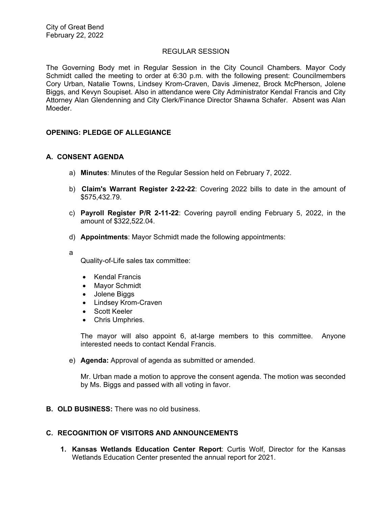#### REGULAR SESSION

The Governing Body met in Regular Session in the City Council Chambers. Mayor Cody Schmidt called the meeting to order at 6:30 p.m. with the following present: Councilmembers Cory Urban, Natalie Towns, Lindsey Krom-Craven, Davis Jimenez, Brock McPherson, Jolene Biggs, and Kevyn Soupiset. Also in attendance were City Administrator Kendal Francis and City Attorney Alan Glendenning and City Clerk/Finance Director Shawna Schafer. Absent was Alan Moeder.

# **OPENING: PLEDGE OF ALLEGIANCE**

#### **A. CONSENT AGENDA**

- a) **Minutes**: Minutes of the Regular Session held on February 7, 2022.
- b) **Claim's Warrant Register 2-22-22**: Covering 2022 bills to date in the amount of \$575,432.79.
- c) **Payroll Register P/R 2-11-22**: Covering payroll ending February 5, 2022, in the amount of \$322,522.04.
- d) **Appointments**: Mayor Schmidt made the following appointments:
- a

Quality-of-Life sales tax committee:

- Kendal Francis
- Mayor Schmidt
- Jolene Biggs
- Lindsey Krom-Craven
- Scott Keeler
- Chris Umphries.

The mayor will also appoint 6, at-large members to this committee. Anyone interested needs to contact Kendal Francis.

e) **Agenda:** Approval of agenda as submitted or amended.

Mr. Urban made a motion to approve the consent agenda. The motion was seconded by Ms. Biggs and passed with all voting in favor.

**B. OLD BUSINESS:** There was no old business.

# **C. RECOGNITION OF VISITORS AND ANNOUNCEMENTS**

**1. Kansas Wetlands Education Center Report**: Curtis Wolf, Director for the Kansas Wetlands Education Center presented the annual report for 2021.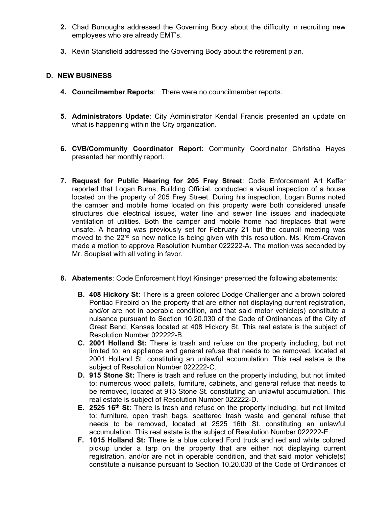- **2.** Chad Burroughs addressed the Governing Body about the difficulty in recruiting new employees who are already EMT's.
- **3.** Kevin Stansfield addressed the Governing Body about the retirement plan.

# **D. NEW BUSINESS**

- **4. Councilmember Reports**: There were no councilmember reports.
- **5. Administrators Update**: City Administrator Kendal Francis presented an update on what is happening within the City organization.
- **6. CVB/Community Coordinator Report**: Community Coordinator Christina Hayes presented her monthly report.
- **7. Request for Public Hearing for 205 Frey Street**: Code Enforcement Art Keffer reported that Logan Burns, Building Official, conducted a visual inspection of a house located on the property of 205 Frey Street. During his inspection, Logan Burns noted the camper and mobile home located on this property were both considered unsafe structures due electrical issues, water line and sewer line issues and inadequate ventilation of utilities. Both the camper and mobile home had fireplaces that were unsafe. A hearing was previously set for February 21 but the council meeting was moved to the 22<sup>nd</sup> so new notice is being given with this resolution. Ms. Krom-Craven made a motion to approve Resolution Number 022222-A. The motion was seconded by Mr. Soupiset with all voting in favor.
- **8. Abatements**: Code Enforcement Hoyt Kinsinger presented the following abatements:
	- **B. 408 Hickory St:** There is a green colored Dodge Challenger and a brown colored Pontiac Firebird on the property that are either not displaying current registration, and/or are not in operable condition, and that said motor vehicle(s) constitute a nuisance pursuant to Section 10.20.030 of the Code of Ordinances of the City of Great Bend, Kansas located at 408 Hickory St. This real estate is the subject of Resolution Number 022222-B.
	- **C. 2001 Holland St:** There is trash and refuse on the property including, but not limited to: an appliance and general refuse that needs to be removed, located at 2001 Holland St. constituting an unlawful accumulation. This real estate is the subject of Resolution Number 022222-C.
	- **D. 915 Stone St:** There is trash and refuse on the property including, but not limited to: numerous wood pallets, furniture, cabinets, and general refuse that needs to be removed, located at 915 Stone St. constituting an unlawful accumulation. This real estate is subject of Resolution Number 022222-D.
	- **E. 2525 16<sup>th</sup> St:** There is trash and refuse on the property including, but not limited to: furniture, open trash bags, scattered trash waste and general refuse that needs to be removed, located at 2525 16th St. constituting an unlawful accumulation. This real estate is the subject of Resolution Number 022222-E.
	- **F. 1015 Holland St:** There is a blue colored Ford truck and red and white colored pickup under a tarp on the property that are either not displaying current registration, and/or are not in operable condition, and that said motor vehicle(s) constitute a nuisance pursuant to Section 10.20.030 of the Code of Ordinances of